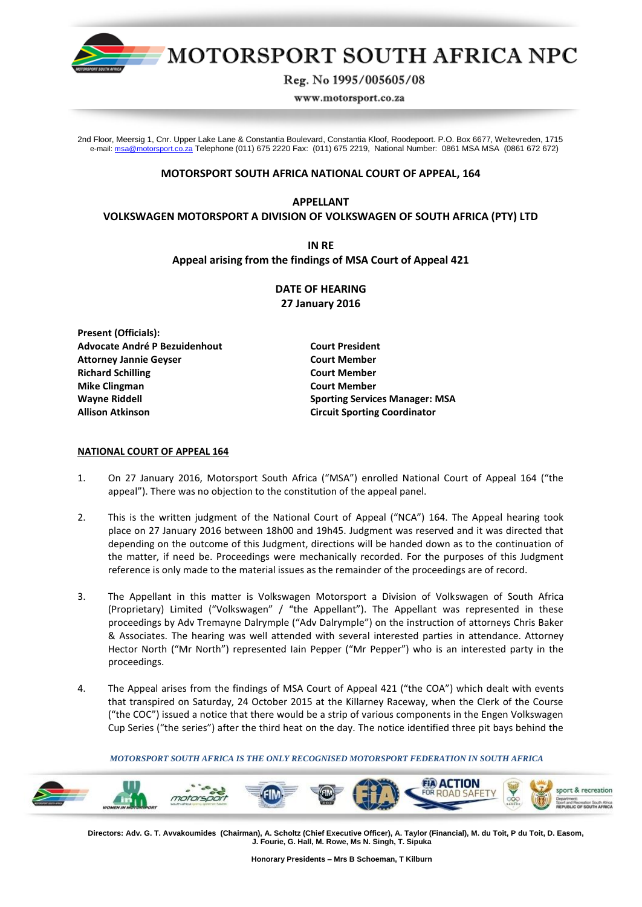

# MOTORSPORT SOUTH AFRICA NPC

Reg. No 1995/005605/08

www.motorsport.co.za

2nd Floor, Meersig 1, Cnr. Upper Lake Lane & Constantia Boulevard, Constantia Kloof, Roodepoort. P.O. Box 6677, Weltevreden, 1715 e-mail[: msa@motorsport.co.za](mailto:msa@motorsport.co.za) Telephone (011) 675 2220 Fax: (011) 675 2219, National Number: 0861 MSA MSA (0861 672 672)

# **MOTORSPORT SOUTH AFRICA NATIONAL COURT OF APPEAL, 164**

## **APPELLANT**

# **VOLKSWAGEN MOTORSPORT A DIVISION OF VOLKSWAGEN OF SOUTH AFRICA (PTY) LTD**

# **IN RE Appeal arising from the findings of MSA Court of Appeal 421**

# **DATE OF HEARING 27 January 2016**

**Present (Officials): Advocate André P Bezuidenhout Court President Attorney Jannie Geyser Court Member Richard Schilling Court Member Mike Clingman Court Member Allison Atkinson Circuit Sporting Coordinator**

**Wayne Riddell Sporting Services Manager: MSA**

## **NATIONAL COURT OF APPEAL 164**

- 1. On 27 January 2016, Motorsport South Africa ("MSA") enrolled National Court of Appeal 164 ("the appeal"). There was no objection to the constitution of the appeal panel.
- 2. This is the written judgment of the National Court of Appeal ("NCA") 164. The Appeal hearing took place on 27 January 2016 between 18h00 and 19h45. Judgment was reserved and it was directed that depending on the outcome of this Judgment, directions will be handed down as to the continuation of the matter, if need be. Proceedings were mechanically recorded. For the purposes of this Judgment reference is only made to the material issues as the remainder of the proceedings are of record.
- 3. The Appellant in this matter is Volkswagen Motorsport a Division of Volkswagen of South Africa (Proprietary) Limited ("Volkswagen" / "the Appellant"). The Appellant was represented in these proceedings by Adv Tremayne Dalrymple ("Adv Dalrymple") on the instruction of attorneys Chris Baker & Associates. The hearing was well attended with several interested parties in attendance. Attorney Hector North ("Mr North") represented Iain Pepper ("Mr Pepper") who is an interested party in the proceedings.
- 4. The Appeal arises from the findings of MSA Court of Appeal 421 ("the COA") which dealt with events that transpired on Saturday, 24 October 2015 at the Killarney Raceway, when the Clerk of the Course ("the COC") issued a notice that there would be a strip of various components in the Engen Volkswagen Cup Series ("the series") after the third heat on the day. The notice identified three pit bays behind the

#### *MOTORSPORT SOUTH AFRICA IS THE ONLY RECOGNISED MOTORSPORT FEDERATION IN SOUTH AFRICA*



 **Directors: Adv. G. T. Avvakoumides (Chairman), A. Scholtz (Chief Executive Officer), A. Taylor (Financial), M. du Toit, P du Toit, D. Easom, J. Fourie, G. Hall, M. Rowe, Ms N. Singh, T. Sipuka**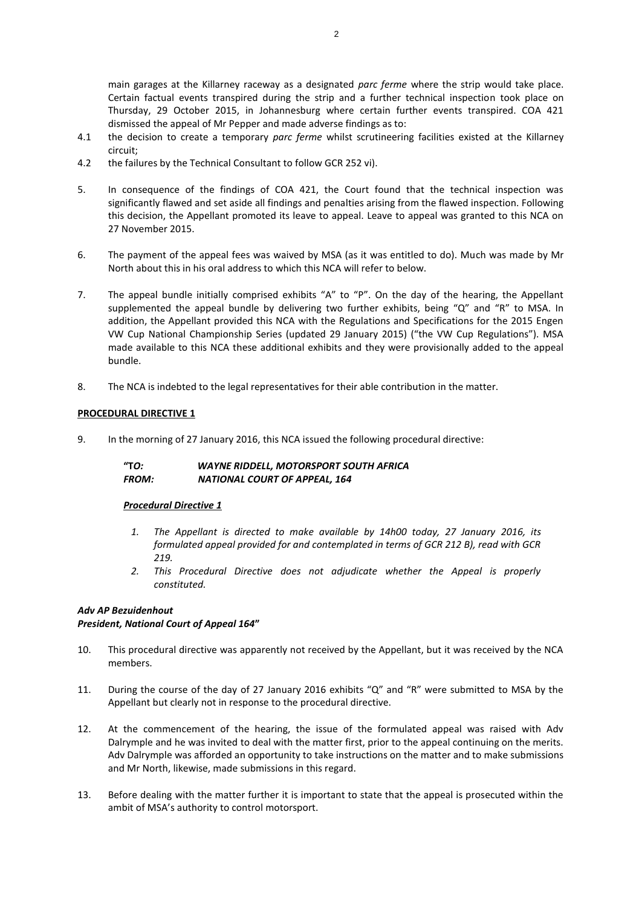main garages at the Killarney raceway as a designated *parc ferme* where the strip would take place. Certain factual events transpired during the strip and a further technical inspection took place on Thursday, 29 October 2015, in Johannesburg where certain further events transpired. COA 421 dismissed the appeal of Mr Pepper and made adverse findings as to:

- 4.1 the decision to create a temporary *parc ferme* whilst scrutineering facilities existed at the Killarney circuit;
- 4.2 the failures by the Technical Consultant to follow GCR 252 vi).
- 5. In consequence of the findings of COA 421, the Court found that the technical inspection was significantly flawed and set aside all findings and penalties arising from the flawed inspection. Following this decision, the Appellant promoted its leave to appeal. Leave to appeal was granted to this NCA on 27 November 2015.
- 6. The payment of the appeal fees was waived by MSA (as it was entitled to do). Much was made by Mr North about this in his oral address to which this NCA will refer to below.
- 7. The appeal bundle initially comprised exhibits "A" to "P". On the day of the hearing, the Appellant supplemented the appeal bundle by delivering two further exhibits, being "Q" and "R" to MSA. In addition, the Appellant provided this NCA with the Regulations and Specifications for the 2015 Engen VW Cup National Championship Series (updated 29 January 2015) ("the VW Cup Regulations"). MSA made available to this NCA these additional exhibits and they were provisionally added to the appeal bundle.
- 8. The NCA is indebted to the legal representatives for their able contribution in the matter.

#### **PROCEDURAL DIRECTIVE 1**

9. In the morning of 27 January 2016, this NCA issued the following procedural directive:

**"T***O: WAYNE RIDDELL, MOTORSPORT SOUTH AFRICA FROM: NATIONAL COURT OF APPEAL, 164*

#### *Procedural Directive 1*

- *1. The Appellant is directed to make available by 14h00 today, 27 January 2016, its formulated appeal provided for and contemplated in terms of GCR 212 B), read with GCR 219.*
- *2. This Procedural Directive does not adjudicate whether the Appeal is properly constituted.*

# *Adv AP Bezuidenhout*

#### *President, National Court of Appeal 164***"**

- 10. This procedural directive was apparently not received by the Appellant, but it was received by the NCA members.
- 11. During the course of the day of 27 January 2016 exhibits "Q" and "R" were submitted to MSA by the Appellant but clearly not in response to the procedural directive.
- 12. At the commencement of the hearing, the issue of the formulated appeal was raised with Adv Dalrymple and he was invited to deal with the matter first, prior to the appeal continuing on the merits. Adv Dalrymple was afforded an opportunity to take instructions on the matter and to make submissions and Mr North, likewise, made submissions in this regard.
- 13. Before dealing with the matter further it is important to state that the appeal is prosecuted within the ambit of MSA's authority to control motorsport.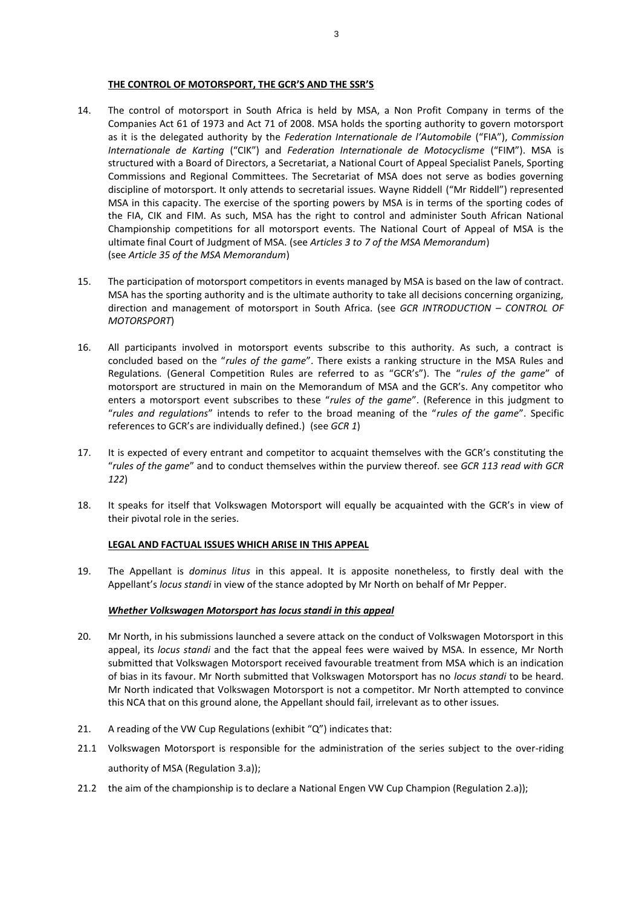#### **THE CONTROL OF MOTORSPORT, THE GCR'S AND THE SSR'S**

- 14. The control of motorsport in South Africa is held by MSA, a Non Profit Company in terms of the Companies Act 61 of 1973 and Act 71 of 2008. MSA holds the sporting authority to govern motorsport as it is the delegated authority by the *Federation Internationale de l'Automobile* ("FIA"), *Commission Internationale de Karting* ("CIK") and *Federation Internationale de Motocyclisme* ("FIM"). MSA is structured with a Board of Directors, a Secretariat, a National Court of Appeal Specialist Panels, Sporting Commissions and Regional Committees. The Secretariat of MSA does not serve as bodies governing discipline of motorsport. It only attends to secretarial issues. Wayne Riddell ("Mr Riddell") represented MSA in this capacity. The exercise of the sporting powers by MSA is in terms of the sporting codes of the FIA, CIK and FIM. As such, MSA has the right to control and administer South African National Championship competitions for all motorsport events. The National Court of Appeal of MSA is the ultimate final Court of Judgment of MSA. (see *Articles 3 to 7 of the MSA Memorandum*) (see *Article 35 of the MSA Memorandum*)
- 15. The participation of motorsport competitors in events managed by MSA is based on the law of contract. MSA has the sporting authority and is the ultimate authority to take all decisions concerning organizing, direction and management of motorsport in South Africa. (see *GCR INTRODUCTION – CONTROL OF MOTORSPORT*)
- 16. All participants involved in motorsport events subscribe to this authority. As such, a contract is concluded based on the "*rules of the game*". There exists a ranking structure in the MSA Rules and Regulations. (General Competition Rules are referred to as "GCR's"). The "*rules of the game*" of motorsport are structured in main on the Memorandum of MSA and the GCR's. Any competitor who enters a motorsport event subscribes to these "*rules of the game*". (Reference in this judgment to "*rules and regulations*" intends to refer to the broad meaning of the "*rules of the game*". Specific references to GCR's are individually defined.) (see *GCR 1*)
- 17. It is expected of every entrant and competitor to acquaint themselves with the GCR's constituting the "*rules of the game*" and to conduct themselves within the purview thereof. see *GCR 113 read with GCR 122*)
- 18. It speaks for itself that Volkswagen Motorsport will equally be acquainted with the GCR's in view of their pivotal role in the series.

#### **LEGAL AND FACTUAL ISSUES WHICH ARISE IN THIS APPEAL**

19. The Appellant is *dominus litus* in this appeal. It is apposite nonetheless, to firstly deal with the Appellant's *locus standi* in view of the stance adopted by Mr North on behalf of Mr Pepper.

#### *Whether Volkswagen Motorsport has locus standi in this appeal*

- 20. Mr North, in his submissions launched a severe attack on the conduct of Volkswagen Motorsport in this appeal, its *locus standi* and the fact that the appeal fees were waived by MSA. In essence, Mr North submitted that Volkswagen Motorsport received favourable treatment from MSA which is an indication of bias in its favour. Mr North submitted that Volkswagen Motorsport has no *locus standi* to be heard. Mr North indicated that Volkswagen Motorsport is not a competitor. Mr North attempted to convince this NCA that on this ground alone, the Appellant should fail, irrelevant as to other issues.
- 21. A reading of the VW Cup Regulations (exhibit "Q") indicates that:
- 21.1 Volkswagen Motorsport is responsible for the administration of the series subject to the over-riding authority of MSA (Regulation 3.a));
- 21.2 the aim of the championship is to declare a National Engen VW Cup Champion (Regulation 2.a));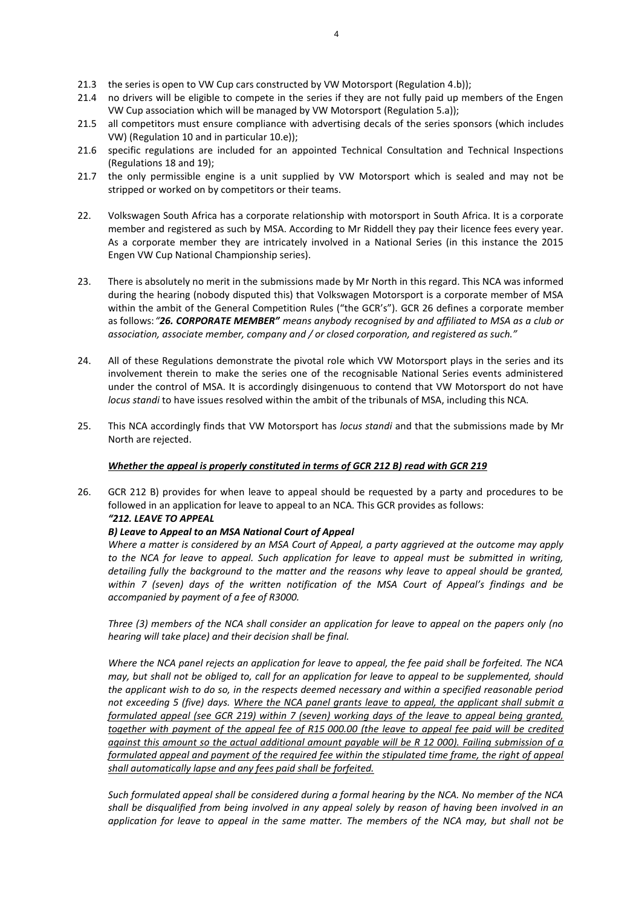- 21.3 the series is open to VW Cup cars constructed by VW Motorsport (Regulation 4.b));
- 21.4 no drivers will be eligible to compete in the series if they are not fully paid up members of the Engen VW Cup association which will be managed by VW Motorsport (Regulation 5.a));
- 21.5 all competitors must ensure compliance with advertising decals of the series sponsors (which includes VW) (Regulation 10 and in particular 10.e));
- 21.6 specific regulations are included for an appointed Technical Consultation and Technical Inspections (Regulations 18 and 19);
- 21.7 the only permissible engine is a unit supplied by VW Motorsport which is sealed and may not be stripped or worked on by competitors or their teams.
- 22. Volkswagen South Africa has a corporate relationship with motorsport in South Africa. It is a corporate member and registered as such by MSA. According to Mr Riddell they pay their licence fees every year. As a corporate member they are intricately involved in a National Series (in this instance the 2015 Engen VW Cup National Championship series).
- 23. There is absolutely no merit in the submissions made by Mr North in this regard. This NCA was informed during the hearing (nobody disputed this) that Volkswagen Motorsport is a corporate member of MSA within the ambit of the General Competition Rules ("the GCR's"). GCR 26 defines a corporate member as follows:*"26. CORPORATE MEMBER" means anybody recognised by and affiliated to MSA as a club or association, associate member, company and / or closed corporation, and registered as such."*
- 24. All of these Regulations demonstrate the pivotal role which VW Motorsport plays in the series and its involvement therein to make the series one of the recognisable National Series events administered under the control of MSA. It is accordingly disingenuous to contend that VW Motorsport do not have *locus standi* to have issues resolved within the ambit of the tribunals of MSA, including this NCA.
- 25. This NCA accordingly finds that VW Motorsport has *locus standi* and that the submissions made by Mr North are rejected.

# *Whether the appeal is properly constituted in terms of GCR 212 B) read with GCR 219*

26. GCR 212 B) provides for when leave to appeal should be requested by a party and procedures to be followed in an application for leave to appeal to an NCA. This GCR provides as follows: *"212. LEAVE TO APPEAL*

# *B) Leave to Appeal to an MSA National Court of Appeal*

*Where a matter is considered by an MSA Court of Appeal, a party aggrieved at the outcome may apply to the NCA for leave to appeal. Such application for leave to appeal must be submitted in writing, detailing fully the background to the matter and the reasons why leave to appeal should be granted, within 7 (seven) days of the written notification of the MSA Court of Appeal's findings and be accompanied by payment of a fee of R3000.* 

*Three (3) members of the NCA shall consider an application for leave to appeal on the papers only (no hearing will take place) and their decision shall be final.* 

*Where the NCA panel rejects an application for leave to appeal, the fee paid shall be forfeited. The NCA may, but shall not be obliged to, call for an application for leave to appeal to be supplemented, should the applicant wish to do so, in the respects deemed necessary and within a specified reasonable period not exceeding 5 (five) days. Where the NCA panel grants leave to appeal, the applicant shall submit a formulated appeal (see GCR 219) within 7 (seven) working days of the leave to appeal being granted, together with payment of the appeal fee of R15 000.00 (the leave to appeal fee paid will be credited against this amount so the actual additional amount payable will be R 12 000). Failing submission of a formulated appeal and payment of the required fee within the stipulated time frame, the right of appeal shall automatically lapse and any fees paid shall be forfeited.* 

*Such formulated appeal shall be considered during a formal hearing by the NCA. No member of the NCA shall be disqualified from being involved in any appeal solely by reason of having been involved in an application for leave to appeal in the same matter. The members of the NCA may, but shall not be*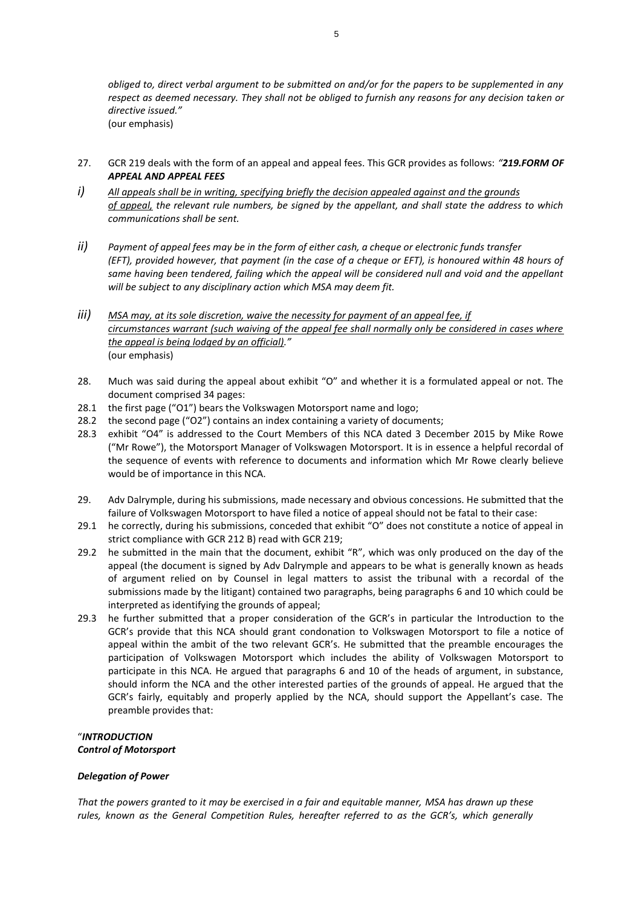- 27. GCR 219 deals with the form of an appeal and appeal fees. This GCR provides as follows: *"219.FORM OF APPEAL AND APPEAL FEES*
- *i) All appeals shall be in writing, specifying briefly the decision appealed against and the grounds of appeal, the relevant rule numbers, be signed by the appellant, and shall state the address to which communications shall be sent.*
- *ii) Payment of appeal fees may be in the form of either cash, a cheque or electronic funds transfer (EFT), provided however, that payment (in the case of a cheque or EFT), is honoured within 48 hours of same having been tendered, failing which the appeal will be considered null and void and the appellant will be subject to any disciplinary action which MSA may deem fit.*
- *iii) MSA may, at its sole discretion, waive the necessity for payment of an appeal fee, if circumstances warrant (such waiving of the appeal fee shall normally only be considered in cases where the appeal is being lodged by an official)."* (our emphasis)
- 28. Much was said during the appeal about exhibit "O" and whether it is a formulated appeal or not. The document comprised 34 pages:
- 28.1 the first page ("O1") bears the Volkswagen Motorsport name and logo;
- 28.2 the second page ("O2") contains an index containing a variety of documents;
- 28.3 exhibit "O4" is addressed to the Court Members of this NCA dated 3 December 2015 by Mike Rowe ("Mr Rowe"), the Motorsport Manager of Volkswagen Motorsport. It is in essence a helpful recordal of the sequence of events with reference to documents and information which Mr Rowe clearly believe would be of importance in this NCA.
- 29. Adv Dalrymple, during his submissions, made necessary and obvious concessions. He submitted that the failure of Volkswagen Motorsport to have filed a notice of appeal should not be fatal to their case:
- 29.1 he correctly, during his submissions, conceded that exhibit "O" does not constitute a notice of appeal in strict compliance with GCR 212 B) read with GCR 219;
- 29.2 he submitted in the main that the document, exhibit "R", which was only produced on the day of the appeal (the document is signed by Adv Dalrymple and appears to be what is generally known as heads of argument relied on by Counsel in legal matters to assist the tribunal with a recordal of the submissions made by the litigant) contained two paragraphs, being paragraphs 6 and 10 which could be interpreted as identifying the grounds of appeal;
- 29.3 he further submitted that a proper consideration of the GCR's in particular the Introduction to the GCR's provide that this NCA should grant condonation to Volkswagen Motorsport to file a notice of appeal within the ambit of the two relevant GCR's. He submitted that the preamble encourages the participation of Volkswagen Motorsport which includes the ability of Volkswagen Motorsport to participate in this NCA. He argued that paragraphs 6 and 10 of the heads of argument, in substance, should inform the NCA and the other interested parties of the grounds of appeal. He argued that the GCR's fairly, equitably and properly applied by the NCA, should support the Appellant's case. The preamble provides that:

# "*INTRODUCTION Control of Motorsport*

# *Delegation of Power*

*That the powers granted to it may be exercised in a fair and equitable manner, MSA has drawn up these rules, known as the General Competition Rules, hereafter referred to as the GCR's, which generally*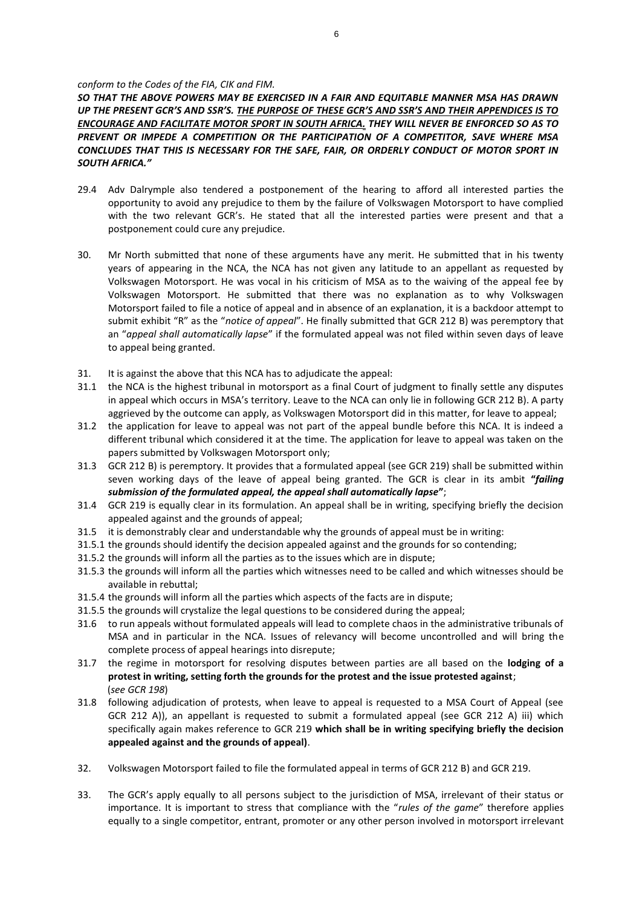#### *conform to the Codes of the FIA, CIK and FIM.*

*SO THAT THE ABOVE POWERS MAY BE EXERCISED IN A FAIR AND EQUITABLE MANNER MSA HAS DRAWN UP THE PRESENT GCR'S AND SSR'S. THE PURPOSE OF THESE GCR'S AND SSR'S AND THEIR APPENDICES IS TO ENCOURAGE AND FACILITATE MOTOR SPORT IN SOUTH AFRICA. THEY WILL NEVER BE ENFORCED SO AS TO PREVENT OR IMPEDE A COMPETITION OR THE PARTICIPATION OF A COMPETITOR, SAVE WHERE MSA CONCLUDES THAT THIS IS NECESSARY FOR THE SAFE, FAIR, OR ORDERLY CONDUCT OF MOTOR SPORT IN SOUTH AFRICA."* 

- 29.4 Adv Dalrymple also tendered a postponement of the hearing to afford all interested parties the opportunity to avoid any prejudice to them by the failure of Volkswagen Motorsport to have complied with the two relevant GCR's. He stated that all the interested parties were present and that a postponement could cure any prejudice.
- 30. Mr North submitted that none of these arguments have any merit. He submitted that in his twenty years of appearing in the NCA, the NCA has not given any latitude to an appellant as requested by Volkswagen Motorsport. He was vocal in his criticism of MSA as to the waiving of the appeal fee by Volkswagen Motorsport. He submitted that there was no explanation as to why Volkswagen Motorsport failed to file a notice of appeal and in absence of an explanation, it is a backdoor attempt to submit exhibit "R" as the "*notice of appeal*". He finally submitted that GCR 212 B) was peremptory that an "*appeal shall automatically lapse*" if the formulated appeal was not filed within seven days of leave to appeal being granted.
- 31. It is against the above that this NCA has to adjudicate the appeal:
- 31.1 the NCA is the highest tribunal in motorsport as a final Court of judgment to finally settle any disputes in appeal which occurs in MSA's territory. Leave to the NCA can only lie in following GCR 212 B). A party aggrieved by the outcome can apply, as Volkswagen Motorsport did in this matter, for leave to appeal;
- 31.2 the application for leave to appeal was not part of the appeal bundle before this NCA. It is indeed a different tribunal which considered it at the time. The application for leave to appeal was taken on the papers submitted by Volkswagen Motorsport only;
- 31.3 GCR 212 B) is peremptory. It provides that a formulated appeal (see GCR 219) shall be submitted within seven working days of the leave of appeal being granted. The GCR is clear in its ambit **"***failing submission of the formulated appeal, the appeal shall automatically lapse***"**;
- 31.4 GCR 219 is equally clear in its formulation. An appeal shall be in writing, specifying briefly the decision appealed against and the grounds of appeal;
- 31.5 it is demonstrably clear and understandable why the grounds of appeal must be in writing:
- 31.5.1 the grounds should identify the decision appealed against and the grounds for so contending;
- 31.5.2 the grounds will inform all the parties as to the issues which are in dispute;
- 31.5.3 the grounds will inform all the parties which witnesses need to be called and which witnesses should be available in rebuttal;
- 31.5.4 the grounds will inform all the parties which aspects of the facts are in dispute;
- 31.5.5 the grounds will crystalize the legal questions to be considered during the appeal;
- 31.6 to run appeals without formulated appeals will lead to complete chaos in the administrative tribunals of MSA and in particular in the NCA. Issues of relevancy will become uncontrolled and will bring the complete process of appeal hearings into disrepute;
- 31.7 the regime in motorsport for resolving disputes between parties are all based on the **lodging of a protest in writing, setting forth the grounds for the protest and the issue protested against**; (*see GCR 198*)
- 31.8 following adjudication of protests, when leave to appeal is requested to a MSA Court of Appeal (see GCR 212 A)), an appellant is requested to submit a formulated appeal (see GCR 212 A) iii) which specifically again makes reference to GCR 219 **which shall be in writing specifying briefly the decision appealed against and the grounds of appeal)**.
- 32. Volkswagen Motorsport failed to file the formulated appeal in terms of GCR 212 B) and GCR 219.
- 33. The GCR's apply equally to all persons subject to the jurisdiction of MSA, irrelevant of their status or importance. It is important to stress that compliance with the "*rules of the game*" therefore applies equally to a single competitor, entrant, promoter or any other person involved in motorsport irrelevant